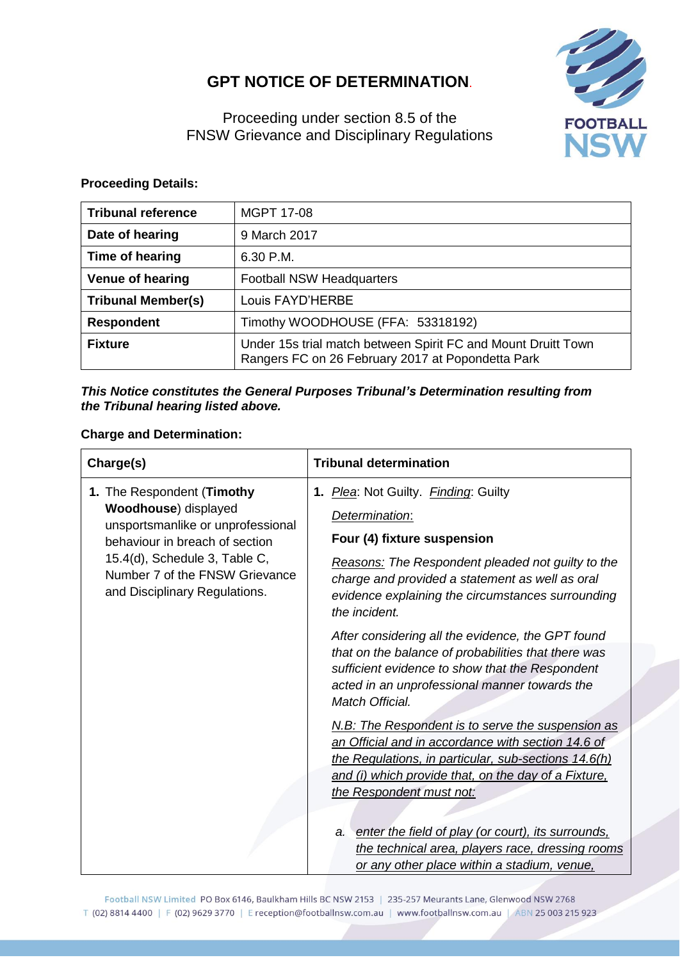## **GPT NOTICE OF DETERMINATION**.



Proceeding under section 8.5 of the FNSW Grievance and Disciplinary Regulations

## **Proceeding Details:**

| <b>Tribunal reference</b> | <b>MGPT 17-08</b>                                                                                                  |  |
|---------------------------|--------------------------------------------------------------------------------------------------------------------|--|
| Date of hearing           | 9 March 2017                                                                                                       |  |
| Time of hearing           | 6.30 P.M.                                                                                                          |  |
| <b>Venue of hearing</b>   | <b>Football NSW Headquarters</b>                                                                                   |  |
| <b>Tribunal Member(s)</b> | Louis FAYD'HERBE                                                                                                   |  |
| <b>Respondent</b>         | Timothy WOODHOUSE (FFA: 53318192)                                                                                  |  |
| <b>Fixture</b>            | Under 15s trial match between Spirit FC and Mount Druitt Town<br>Rangers FC on 26 February 2017 at Popondetta Park |  |

## *This Notice constitutes the General Purposes Tribunal's Determination resulting from the Tribunal hearing listed above.*

## **Charge and Determination:**

| Charge(s)                                                                                                                                                                                                                             | <b>Tribunal determination</b>                                                                                                                                                                                                                                                                                                                                                                                   |
|---------------------------------------------------------------------------------------------------------------------------------------------------------------------------------------------------------------------------------------|-----------------------------------------------------------------------------------------------------------------------------------------------------------------------------------------------------------------------------------------------------------------------------------------------------------------------------------------------------------------------------------------------------------------|
| 1. The Respondent (Timothy<br><b>Woodhouse</b> ) displayed<br>unsportsmanlike or unprofessional<br>behaviour in breach of section<br>15.4(d), Schedule 3, Table C,<br>Number 7 of the FNSW Grievance<br>and Disciplinary Regulations. | 1. Plea: Not Guilty. Finding: Guilty<br>Determination:<br>Four (4) fixture suspension<br><b>Reasons:</b> The Respondent pleaded not guilty to the<br>charge and provided a statement as well as oral<br>evidence explaining the circumstances surrounding<br>the incident.                                                                                                                                      |
|                                                                                                                                                                                                                                       | After considering all the evidence, the GPT found<br>that on the balance of probabilities that there was<br>sufficient evidence to show that the Respondent<br>acted in an unprofessional manner towards the<br>Match Official.                                                                                                                                                                                 |
|                                                                                                                                                                                                                                       | N.B: The Respondent is to serve the suspension as<br>an Official and in accordance with section 14.6 of<br>the Regulations, in particular, sub-sections 14.6(h)<br>and (i) which provide that, on the day of a Fixture,<br>the Respondent must not:<br>a. enter the field of play (or court), its surrounds.<br>the technical area, players race, dressing rooms<br>or any other place within a stadium, venue, |

Football NSW Limited PO Box 6146, Baulkham Hills BC NSW 2153 | 235-257 Meurants Lane, Glenwood NSW 2768 T (02) 8814 4400 | F (02) 9629 3770 | E reception@footballnsw.com.au | www.footballnsw.com.au | ABN 25 003 215 923